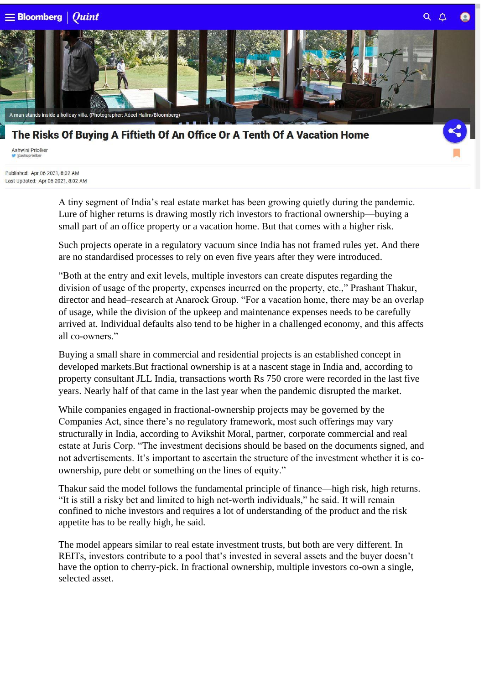

## The Risks Of Buying A Fiftieth Of An Office Or A Tenth Of A Vacation Home

Ashwini Priolker

Published: Apr 06 2021, 8:02 AM Last Updated: Apr 06 2021, 8:02 AM

> A tiny segment of India's real estate market has been growing quietly during the pandemic. Lure of higher returns is drawing mostly rich investors to fractional ownership—buying a small part of an office property or a vacation home. But that comes with a higher risk.

Such projects operate in a regulatory vacuum since India has not framed rules yet. And there are no standardised processes to rely on even five years after they were introduced.

"Both at the entry and exit levels, multiple investors can create disputes regarding the division of usage of the property, expenses incurred on the property, etc.," Prashant Thakur, director and head–research at Anarock Group. "For a vacation home, there may be an overlap of usage, while the division of the upkeep and maintenance expenses needs to be carefully arrived at. Individual defaults also tend to be higher in a challenged economy, and this affects all co-owners."

Buying a small share in commercial and residential projects is an established concept in developed markets.But fractional ownership is at a nascent stage in India and, according to property consultant JLL India, transactions worth Rs 750 crore were recorded in the last five years. Nearly half of that came in the last year when the pandemic disrupted the market.

While companies engaged in fractional-ownership projects may be governed by the Companies Act, since there's no regulatory framework, most such offerings may vary structurally in India, according to Avikshit Moral, partner, corporate commercial and real estate at Juris Corp. "The investment decisions should be based on the documents signed, and not advertisements. It's important to ascertain the structure of the investment whether it is coownership, pure debt or something on the lines of equity."

Thakur said the model follows the fundamental principle of finance—high risk, high returns. "It is still a risky bet and limited to high net-worth individuals," he said. It will remain confined to niche investors and requires a lot of understanding of the product and the risk appetite has to be really high, he said.

The model appears similar to real estate investment trusts, but both are very different. In REITs, investors contribute to a pool that's invested in several assets and the buyer doesn't have the option to cherry-pick. In fractional ownership, multiple investors co-own a single, selected asset.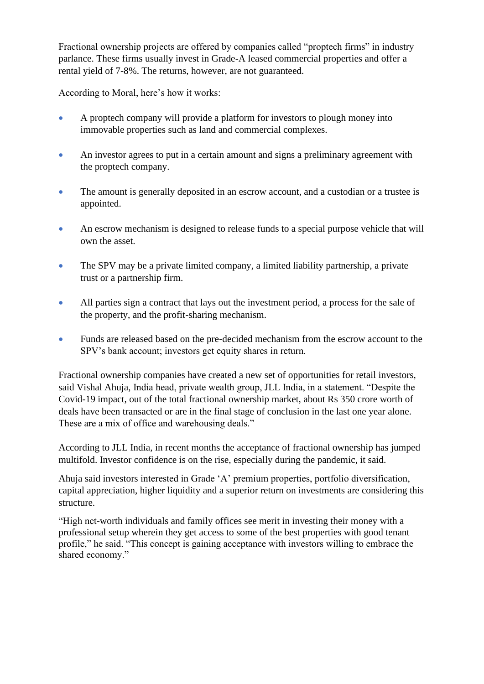Fractional ownership projects are offered by companies called "proptech firms" in industry parlance. These firms usually invest in Grade-A leased commercial properties and offer a rental yield of 7-8%. The returns, however, are not guaranteed.

According to Moral, here's how it works:

- A proptech company will provide a platform for investors to plough money into immovable properties such as land and commercial complexes.
- An investor agrees to put in a certain amount and signs a preliminary agreement with the proptech company.
- The amount is generally deposited in an escrow account, and a custodian or a trustee is appointed.
- An escrow mechanism is designed to release funds to a special purpose vehicle that will own the asset.
- The SPV may be a private limited company, a limited liability partnership, a private trust or a partnership firm.
- All parties sign a contract that lays out the investment period, a process for the sale of the property, and the profit-sharing mechanism.
- Funds are released based on the pre-decided mechanism from the escrow account to the SPV's bank account; investors get equity shares in return.

Fractional ownership companies have created a new set of opportunities for retail investors, said Vishal Ahuja, India head, private wealth group, JLL India, in a statement. "Despite the Covid-19 impact, out of the total fractional ownership market, about Rs 350 crore worth of deals have been transacted or are in the final stage of conclusion in the last one year alone. These are a mix of office and warehousing deals."

According to JLL India, in recent months the acceptance of fractional ownership has jumped multifold. Investor confidence is on the rise, especially during the pandemic, it said.

Ahuja said investors interested in Grade 'A' premium properties, portfolio diversification, capital appreciation, higher liquidity and a superior return on investments are considering this structure.

"High net-worth individuals and family offices see merit in investing their money with a professional setup wherein they get access to some of the best properties with good tenant profile," he said. "This concept is gaining acceptance with investors willing to embrace the shared economy."